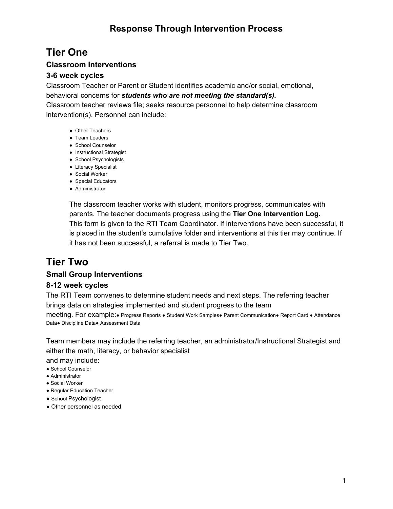## **Tier One**

#### **Classroom Interventions**

#### **3-6 week cycles**

Classroom Teacher or Parent or Student identifies academic and/or social, emotional, behavioral concerns for *students who are not meeting the standard(s).*

Classroom teacher reviews file; seeks resource personnel to help determine classroom intervention(s). Personnel can include:

- Other Teachers
- Team Leaders
- School Counselor
- Instructional Strategist
- School Psychologists
- Literacy Specialist
- Social Worker
- Special Educators
- Administrator

The classroom teacher works with student, monitors progress, communicates with parents. The teacher documents progress using the **Tier One Intervention Log.** This form is given to the RTI Team Coordinator. If interventions have been successful, it is placed in the student's cumulative folder and interventions at this tier may continue. If it has not been successful, a referral is made to Tier Two.

# **Tier Two**

#### **Small Group Interventions**

#### **8-12 week cycles**

The RTI Team convenes to determine student needs and next steps. The referring teacher brings data on strategies implemented and student progress to the team

meeting. For example:● Progress Reports ● Student Work Samples● Parent Communication● Report Card ● Attendance Data● Discipline Data● Assessment Data

Team members may include the referring teacher, an administrator/Instructional Strategist and either the math, literacy, or behavior specialist

and may include:

- School Counselor
- Administrator
- Social Worker
- Regular Education Teacher
- School Psychologist
- Other personnel as needed